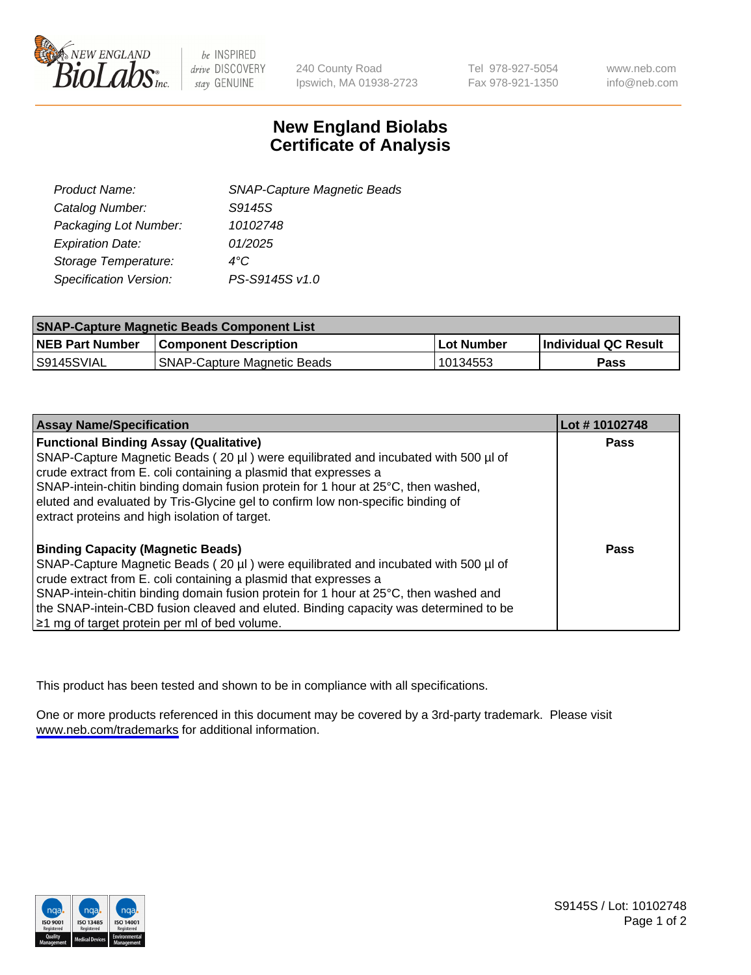

be INSPIRED drive DISCOVERY stay GENUINE

240 County Road Ipswich, MA 01938-2723 Tel 978-927-5054 Fax 978-921-1350

www.neb.com info@neb.com

## **New England Biolabs Certificate of Analysis**

| <b>SNAP-Capture Magnetic Beads</b> |
|------------------------------------|
| S9145S                             |
| 10102748                           |
| 01/2025                            |
| 4°C                                |
| PS-S9145S v1.0                     |
|                                    |

| <b>SNAP-Capture Magnetic Beads Component List</b> |                                    |                   |                      |  |
|---------------------------------------------------|------------------------------------|-------------------|----------------------|--|
| <b>NEB Part Number</b>                            | <b>Component Description</b>       | <b>Lot Number</b> | Individual QC Result |  |
| IS9145SVIAL                                       | <b>SNAP-Capture Magnetic Beads</b> | 10134553          | Pass                 |  |

| <b>Assay Name/Specification</b>                                                      | Lot #10102748 |
|--------------------------------------------------------------------------------------|---------------|
| <b>Functional Binding Assay (Qualitative)</b>                                        | <b>Pass</b>   |
| SNAP-Capture Magnetic Beads (20 µl) were equilibrated and incubated with 500 µl of   |               |
| crude extract from E. coli containing a plasmid that expresses a                     |               |
| SNAP-intein-chitin binding domain fusion protein for 1 hour at 25°C, then washed,    |               |
| eluted and evaluated by Tris-Glycine gel to confirm low non-specific binding of      |               |
| extract proteins and high isolation of target.                                       |               |
| <b>Binding Capacity (Magnetic Beads)</b>                                             | Pass          |
| SNAP-Capture Magnetic Beads (20 µl) were equilibrated and incubated with 500 µl of   |               |
| crude extract from E. coli containing a plasmid that expresses a                     |               |
| SNAP-intein-chitin binding domain fusion protein for 1 hour at 25°C, then washed and |               |
| the SNAP-intein-CBD fusion cleaved and eluted. Binding capacity was determined to be |               |
| ≥1 mg of target protein per ml of bed volume.                                        |               |

This product has been tested and shown to be in compliance with all specifications.

One or more products referenced in this document may be covered by a 3rd-party trademark. Please visit <www.neb.com/trademarks>for additional information.